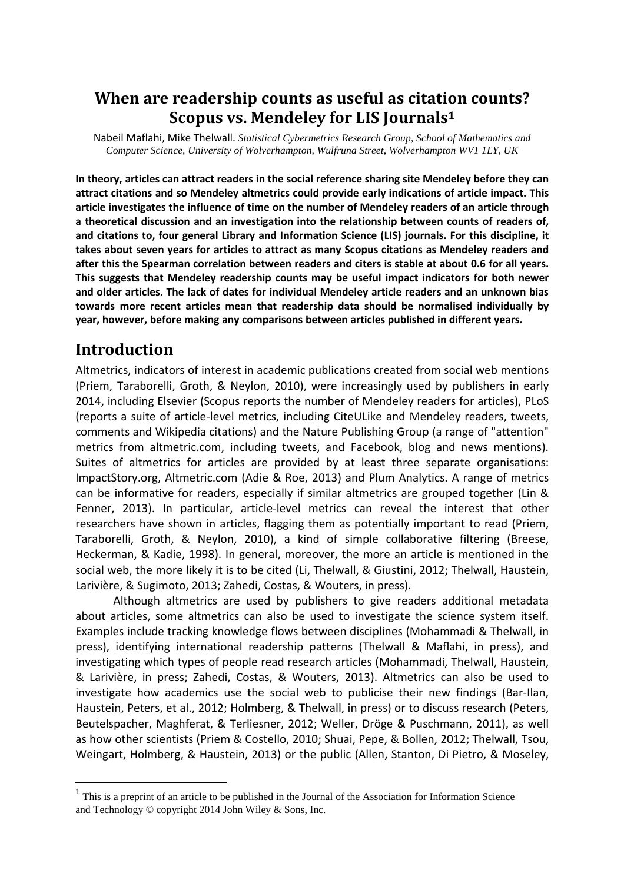### When are readership counts as useful as citation counts? Scopus vs. Mendeley for LIS Journals<sup>1</sup>

Nabeil Maflahi, Mike Thelwall. *Statistical Cybermetrics Research Group, School of Mathematics and Computer Science, University of Wolverhampton, Wulfruna Street, Wolverhampton WV1 1LY, UK* 

In theory, articles can attract readers in the social reference sharing site Mendeley before they can attract citations and so Mendeley altmetrics could provide early indications of article impact. This article investigates the influence of time on the number of Mendeley readers of an article through a theoretical discussion and an investigation into the relationship between counts of readers of, and citations to, four general Library and Information Science (LIS) journals. For this discipline, it takes about seven years for articles to attract as many Scopus citations as Mendeley readers and after this the Spearman correlation between readers and citers is stable at about 0.6 for all years. This suggests that Mendeley readership counts may be useful impact indicators for both newer and older articles. The lack of dates for individual Mendeley article readers and an unknown bias towards more recent articles mean that readership data should be normalised individually by year, however, before making any comparisons between articles published in different years.

#### Introduction

l

Altmetrics, indicators of interest in academic publications created from social web mentions (Priem, Taraborelli, Groth, & Neylon, 2010), were increasingly used by publishers in early 2014, including Elsevier (Scopus reports the number of Mendeley readers for articles), PLoS (reports a suite of article-level metrics, including CiteULike and Mendeley readers, tweets, comments and Wikipedia citations) and the Nature Publishing Group (a range of "attention" metrics from altmetric.com, including tweets, and Facebook, blog and news mentions). Suites of altmetrics for articles are provided by at least three separate organisations: ImpactStory.org, Altmetric.com (Adie & Roe, 2013) and Plum Analytics. A range of metrics can be informative for readers, especially if similar altmetrics are grouped together (Lin & Fenner, 2013). In particular, article-level metrics can reveal the interest that other researchers have shown in articles, flagging them as potentially important to read (Priem, Taraborelli, Groth, & Neylon, 2010), a kind of simple collaborative filtering (Breese, Heckerman, & Kadie, 1998). In general, moreover, the more an article is mentioned in the social web, the more likely it is to be cited (Li, Thelwall, & Giustini, 2012; Thelwall, Haustein, Larivière, & Sugimoto, 2013; Zahedi, Costas, & Wouters, in press).

 Although altmetrics are used by publishers to give readers additional metadata about articles, some altmetrics can also be used to investigate the science system itself. Examples include tracking knowledge flows between disciplines (Mohammadi & Thelwall, in press), identifying international readership patterns (Thelwall & Maflahi, in press), and investigating which types of people read research articles (Mohammadi, Thelwall, Haustein, & Larivière, in press; Zahedi, Costas, & Wouters, 2013). Altmetrics can also be used to investigate how academics use the social web to publicise their new findings (Bar-Ilan, Haustein, Peters, et al., 2012; Holmberg, & Thelwall, in press) or to discuss research (Peters, Beutelspacher, Maghferat, & Terliesner, 2012; Weller, Dröge & Puschmann, 2011), as well as how other scientists (Priem & Costello, 2010; Shuai, Pepe, & Bollen, 2012; Thelwall, Tsou, Weingart, Holmberg, & Haustein, 2013) or the public (Allen, Stanton, Di Pietro, & Moseley,

<sup>&</sup>lt;sup>1</sup> This is a preprint of an article to be published in the Journal of the Association for Information Science and Technology © copyright 2014 John Wiley & Sons, Inc.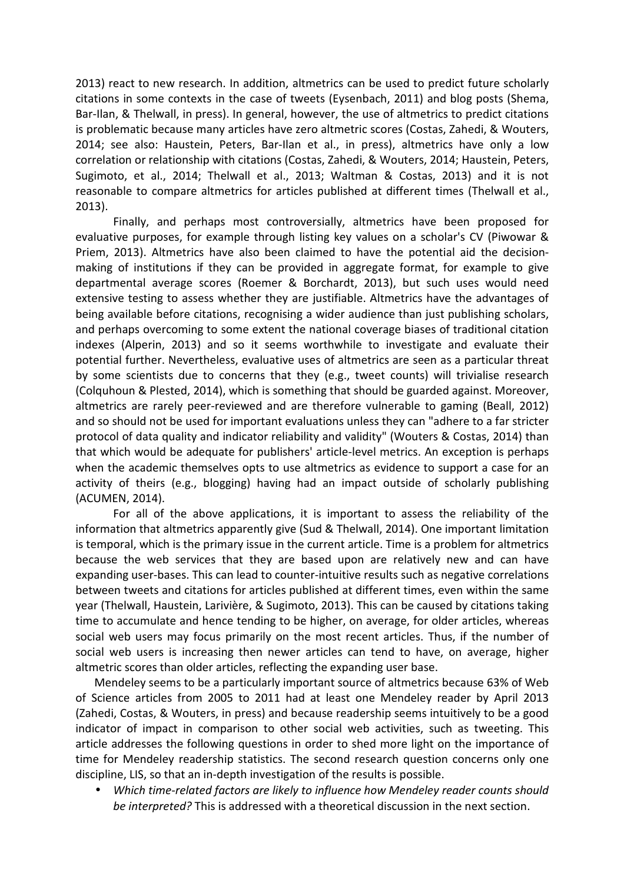2013) react to new research. In addition, altmetrics can be used to predict future scholarly citations in some contexts in the case of tweets (Eysenbach, 2011) and blog posts (Shema, Bar-Ilan, & Thelwall, in press). In general, however, the use of altmetrics to predict citations is problematic because many articles have zero altmetric scores (Costas, Zahedi, & Wouters, 2014; see also: Haustein, Peters, Bar-Ilan et al., in press), altmetrics have only a low correlation or relationship with citations (Costas, Zahedi, & Wouters, 2014; Haustein, Peters, Sugimoto, et al., 2014; Thelwall et al., 2013; Waltman & Costas, 2013) and it is not reasonable to compare altmetrics for articles published at different times (Thelwall et al., 2013).

Finally, and perhaps most controversially, altmetrics have been proposed for evaluative purposes, for example through listing key values on a scholar's CV (Piwowar & Priem, 2013). Altmetrics have also been claimed to have the potential aid the decisionmaking of institutions if they can be provided in aggregate format, for example to give departmental average scores (Roemer & Borchardt, 2013), but such uses would need extensive testing to assess whether they are justifiable. Altmetrics have the advantages of being available before citations, recognising a wider audience than just publishing scholars, and perhaps overcoming to some extent the national coverage biases of traditional citation indexes (Alperin, 2013) and so it seems worthwhile to investigate and evaluate their potential further. Nevertheless, evaluative uses of altmetrics are seen as a particular threat by some scientists due to concerns that they (e.g., tweet counts) will trivialise research (Colquhoun & Plested, 2014), which is something that should be guarded against. Moreover, altmetrics are rarely peer-reviewed and are therefore vulnerable to gaming (Beall, 2012) and so should not be used for important evaluations unless they can "adhere to a far stricter protocol of data quality and indicator reliability and validity" (Wouters & Costas, 2014) than that which would be adequate for publishers' article-level metrics. An exception is perhaps when the academic themselves opts to use altmetrics as evidence to support a case for an activity of theirs (e.g., blogging) having had an impact outside of scholarly publishing (ACUMEN, 2014).

 For all of the above applications, it is important to assess the reliability of the information that altmetrics apparently give (Sud & Thelwall, 2014). One important limitation is temporal, which is the primary issue in the current article. Time is a problem for altmetrics because the web services that they are based upon are relatively new and can have expanding user-bases. This can lead to counter-intuitive results such as negative correlations between tweets and citations for articles published at different times, even within the same year (Thelwall, Haustein, Larivière, & Sugimoto, 2013). This can be caused by citations taking time to accumulate and hence tending to be higher, on average, for older articles, whereas social web users may focus primarily on the most recent articles. Thus, if the number of social web users is increasing then newer articles can tend to have, on average, higher altmetric scores than older articles, reflecting the expanding user base.

Mendeley seems to be a particularly important source of altmetrics because 63% of Web of Science articles from 2005 to 2011 had at least one Mendeley reader by April 2013 (Zahedi, Costas, & Wouters, in press) and because readership seems intuitively to be a good indicator of impact in comparison to other social web activities, such as tweeting. This article addresses the following questions in order to shed more light on the importance of time for Mendeley readership statistics. The second research question concerns only one discipline, LIS, so that an in-depth investigation of the results is possible.

• Which time-related factors are likely to influence how Mendeley reader counts should be interpreted? This is addressed with a theoretical discussion in the next section.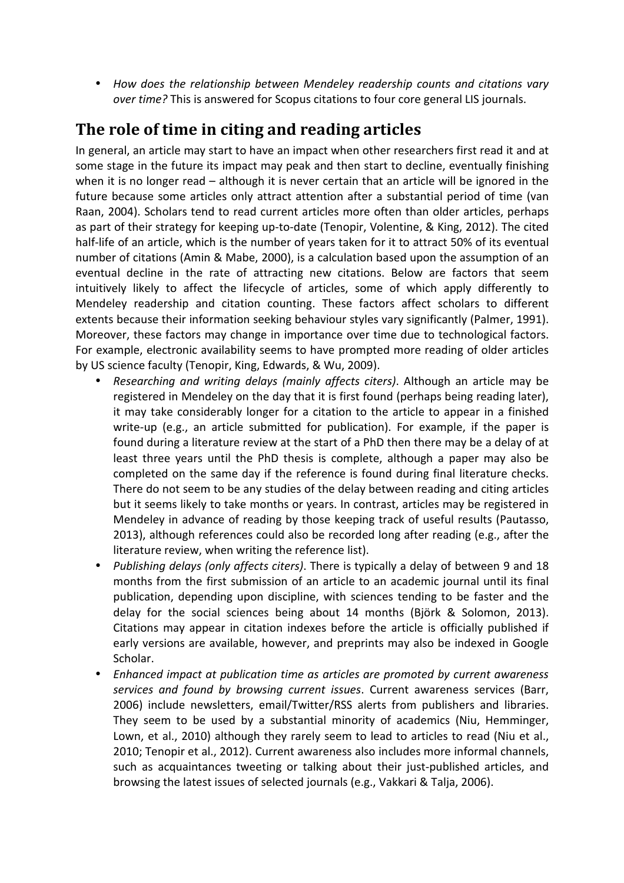• How does the relationship between Mendeley readership counts and citations vary over time? This is answered for Scopus citations to four core general LIS journals.

### The role of time in citing and reading articles

In general, an article may start to have an impact when other researchers first read it and at some stage in the future its impact may peak and then start to decline, eventually finishing when it is no longer read – although it is never certain that an article will be ignored in the future because some articles only attract attention after a substantial period of time (van Raan, 2004). Scholars tend to read current articles more often than older articles, perhaps as part of their strategy for keeping up-to-date (Tenopir, Volentine, & King, 2012). The cited half-life of an article, which is the number of years taken for it to attract 50% of its eventual number of citations (Amin & Mabe, 2000), is a calculation based upon the assumption of an eventual decline in the rate of attracting new citations. Below are factors that seem intuitively likely to affect the lifecycle of articles, some of which apply differently to Mendeley readership and citation counting. These factors affect scholars to different extents because their information seeking behaviour styles vary significantly (Palmer, 1991). Moreover, these factors may change in importance over time due to technological factors. For example, electronic availability seems to have prompted more reading of older articles by US science faculty (Tenopir, King, Edwards, & Wu, 2009).

- Researching and writing delays (mainly affects citers). Although an article may be registered in Mendeley on the day that it is first found (perhaps being reading later), it may take considerably longer for a citation to the article to appear in a finished write-up (e.g., an article submitted for publication). For example, if the paper is found during a literature review at the start of a PhD then there may be a delay of at least three years until the PhD thesis is complete, although a paper may also be completed on the same day if the reference is found during final literature checks. There do not seem to be any studies of the delay between reading and citing articles but it seems likely to take months or years. In contrast, articles may be registered in Mendeley in advance of reading by those keeping track of useful results (Pautasso, 2013), although references could also be recorded long after reading (e.g., after the literature review, when writing the reference list).
- Publishing delays (only affects citers). There is typically a delay of between 9 and 18 months from the first submission of an article to an academic journal until its final publication, depending upon discipline, with sciences tending to be faster and the delay for the social sciences being about 14 months (Björk & Solomon, 2013). Citations may appear in citation indexes before the article is officially published if early versions are available, however, and preprints may also be indexed in Google Scholar.
- Enhanced impact at publication time as articles are promoted by current awareness services and found by browsing current issues. Current awareness services (Barr, 2006) include newsletters, email/Twitter/RSS alerts from publishers and libraries. They seem to be used by a substantial minority of academics (Niu, Hemminger, Lown, et al., 2010) although they rarely seem to lead to articles to read (Niu et al., 2010; Tenopir et al., 2012). Current awareness also includes more informal channels, such as acquaintances tweeting or talking about their just-published articles, and browsing the latest issues of selected journals (e.g., Vakkari & Talja, 2006).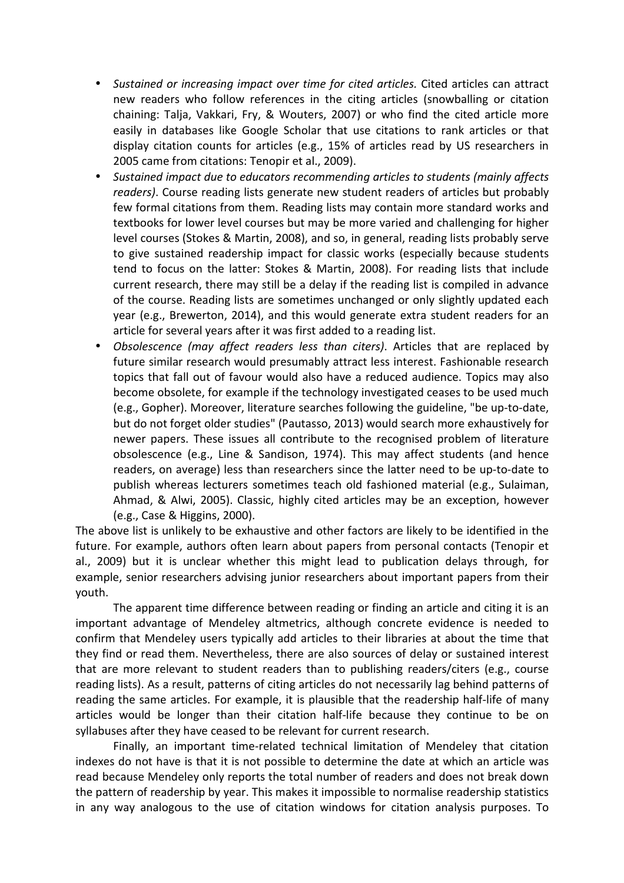- Sustained or increasing impact over time for cited articles. Cited articles can attract new readers who follow references in the citing articles (snowballing or citation chaining: Talja, Vakkari, Fry, & Wouters, 2007) or who find the cited article more easily in databases like Google Scholar that use citations to rank articles or that display citation counts for articles (e.g., 15% of articles read by US researchers in 2005 came from citations: Tenopir et al., 2009).
- Sustained impact due to educators recommending articles to students (mainly affects readers). Course reading lists generate new student readers of articles but probably few formal citations from them. Reading lists may contain more standard works and textbooks for lower level courses but may be more varied and challenging for higher level courses (Stokes & Martin, 2008), and so, in general, reading lists probably serve to give sustained readership impact for classic works (especially because students tend to focus on the latter: Stokes & Martin, 2008). For reading lists that include current research, there may still be a delay if the reading list is compiled in advance of the course. Reading lists are sometimes unchanged or only slightly updated each year (e.g., Brewerton, 2014), and this would generate extra student readers for an article for several years after it was first added to a reading list.
- Obsolescence (may affect readers less than citers). Articles that are replaced by future similar research would presumably attract less interest. Fashionable research topics that fall out of favour would also have a reduced audience. Topics may also become obsolete, for example if the technology investigated ceases to be used much (e.g., Gopher). Moreover, literature searches following the guideline, "be up-to-date, but do not forget older studies" (Pautasso, 2013) would search more exhaustively for newer papers. These issues all contribute to the recognised problem of literature obsolescence (e.g., Line & Sandison, 1974). This may affect students (and hence readers, on average) less than researchers since the latter need to be up-to-date to publish whereas lecturers sometimes teach old fashioned material (e.g., Sulaiman, Ahmad, & Alwi, 2005). Classic, highly cited articles may be an exception, however (e.g., Case & Higgins, 2000).

The above list is unlikely to be exhaustive and other factors are likely to be identified in the future. For example, authors often learn about papers from personal contacts (Tenopir et al., 2009) but it is unclear whether this might lead to publication delays through, for example, senior researchers advising junior researchers about important papers from their youth.

The apparent time difference between reading or finding an article and citing it is an important advantage of Mendeley altmetrics, although concrete evidence is needed to confirm that Mendeley users typically add articles to their libraries at about the time that they find or read them. Nevertheless, there are also sources of delay or sustained interest that are more relevant to student readers than to publishing readers/citers (e.g., course reading lists). As a result, patterns of citing articles do not necessarily lag behind patterns of reading the same articles. For example, it is plausible that the readership half-life of many articles would be longer than their citation half-life because they continue to be on syllabuses after they have ceased to be relevant for current research.

Finally, an important time-related technical limitation of Mendeley that citation indexes do not have is that it is not possible to determine the date at which an article was read because Mendeley only reports the total number of readers and does not break down the pattern of readership by year. This makes it impossible to normalise readership statistics in any way analogous to the use of citation windows for citation analysis purposes. To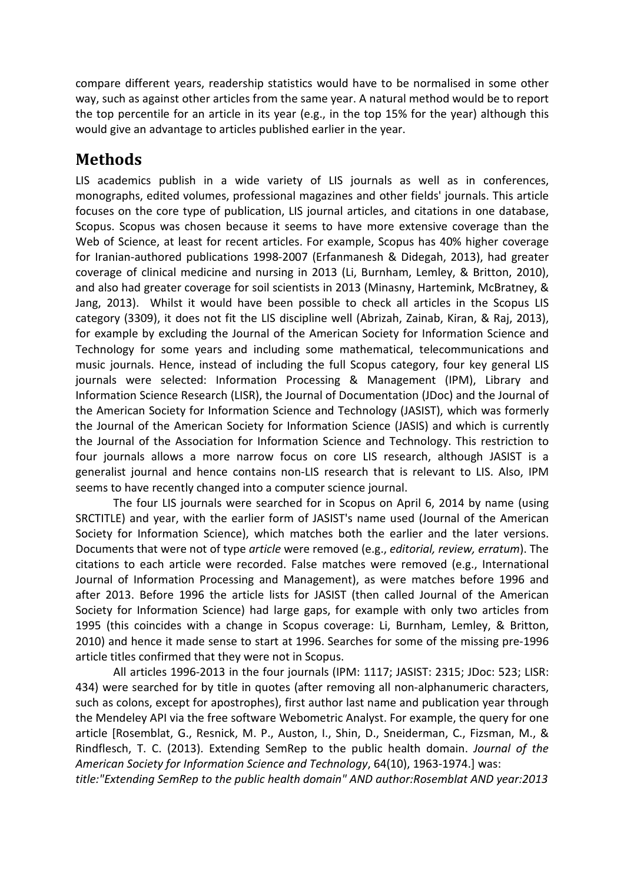compare different years, readership statistics would have to be normalised in some other way, such as against other articles from the same year. A natural method would be to report the top percentile for an article in its year (e.g., in the top 15% for the year) although this would give an advantage to articles published earlier in the year.

# Methods

LIS academics publish in a wide variety of LIS journals as well as in conferences, monographs, edited volumes, professional magazines and other fields' journals. This article focuses on the core type of publication, LIS journal articles, and citations in one database, Scopus. Scopus was chosen because it seems to have more extensive coverage than the Web of Science, at least for recent articles. For example, Scopus has 40% higher coverage for Iranian-authored publications 1998-2007 (Erfanmanesh & Didegah, 2013), had greater coverage of clinical medicine and nursing in 2013 (Li, Burnham, Lemley, & Britton, 2010), and also had greater coverage for soil scientists in 2013 (Minasny, Hartemink, McBratney, & Jang, 2013). Whilst it would have been possible to check all articles in the Scopus LIS category (3309), it does not fit the LIS discipline well (Abrizah, Zainab, Kiran, & Raj, 2013), for example by excluding the Journal of the American Society for Information Science and Technology for some years and including some mathematical, telecommunications and music journals. Hence, instead of including the full Scopus category, four key general LIS journals were selected: Information Processing & Management (IPM), Library and Information Science Research (LISR), the Journal of Documentation (JDoc) and the Journal of the American Society for Information Science and Technology (JASIST), which was formerly the Journal of the American Society for Information Science (JASIS) and which is currently the Journal of the Association for Information Science and Technology. This restriction to four journals allows a more narrow focus on core LIS research, although JASIST is a generalist journal and hence contains non-LIS research that is relevant to LIS. Also, IPM seems to have recently changed into a computer science journal.

The four LIS journals were searched for in Scopus on April 6, 2014 by name (using SRCTITLE) and year, with the earlier form of JASIST's name used (Journal of the American Society for Information Science), which matches both the earlier and the later versions. Documents that were not of type article were removed (e.g., editorial, review, erratum). The citations to each article were recorded. False matches were removed (e.g., International Journal of Information Processing and Management), as were matches before 1996 and after 2013. Before 1996 the article lists for JASIST (then called Journal of the American Society for Information Science) had large gaps, for example with only two articles from 1995 (this coincides with a change in Scopus coverage: Li, Burnham, Lemley, & Britton, 2010) and hence it made sense to start at 1996. Searches for some of the missing pre-1996 article titles confirmed that they were not in Scopus.

 All articles 1996-2013 in the four journals (IPM: 1117; JASIST: 2315; JDoc: 523; LISR: 434) were searched for by title in quotes (after removing all non-alphanumeric characters, such as colons, except for apostrophes), first author last name and publication year through the Mendeley API via the free software Webometric Analyst. For example, the query for one article [Rosemblat, G., Resnick, M. P., Auston, I., Shin, D., Sneiderman, C., Fizsman, M., & Rindflesch, T. C. (2013). Extending SemRep to the public health domain. Journal of the American Society for Information Science and Technology, 64(10), 1963-1974.] was:

title:"Extending SemRep to the public health domain" AND author:Rosemblat AND year:2013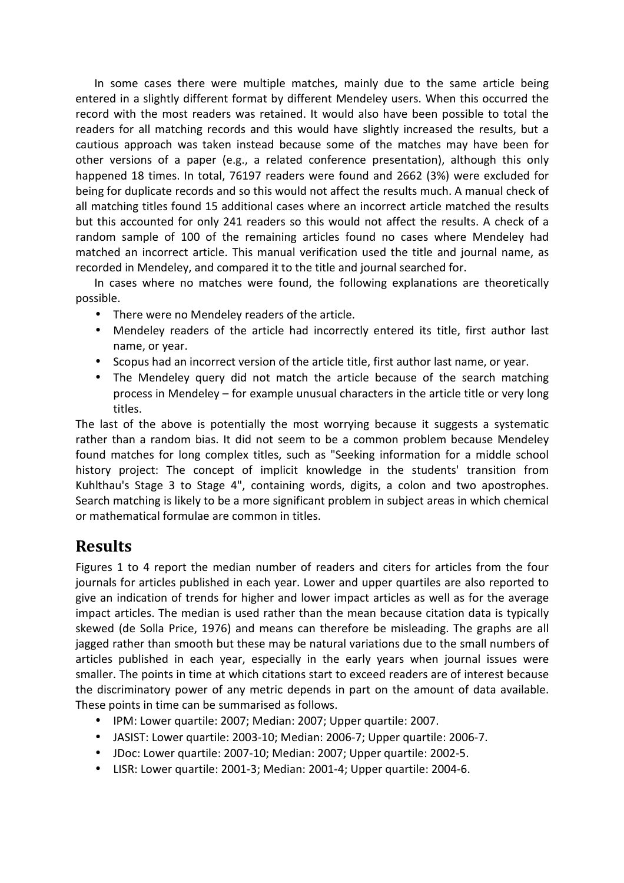In some cases there were multiple matches, mainly due to the same article being entered in a slightly different format by different Mendeley users. When this occurred the record with the most readers was retained. It would also have been possible to total the readers for all matching records and this would have slightly increased the results, but a cautious approach was taken instead because some of the matches may have been for other versions of a paper (e.g., a related conference presentation), although this only happened 18 times. In total, 76197 readers were found and 2662 (3%) were excluded for being for duplicate records and so this would not affect the results much. A manual check of all matching titles found 15 additional cases where an incorrect article matched the results but this accounted for only 241 readers so this would not affect the results. A check of a random sample of 100 of the remaining articles found no cases where Mendeley had matched an incorrect article. This manual verification used the title and journal name, as recorded in Mendeley, and compared it to the title and journal searched for.

In cases where no matches were found, the following explanations are theoretically possible.

- There were no Mendeley readers of the article.
- Mendeley readers of the article had incorrectly entered its title, first author last name, or year.
- Scopus had an incorrect version of the article title, first author last name, or year.
- The Mendeley query did not match the article because of the search matching process in Mendeley – for example unusual characters in the article title or very long titles.

The last of the above is potentially the most worrying because it suggests a systematic rather than a random bias. It did not seem to be a common problem because Mendeley found matches for long complex titles, such as "Seeking information for a middle school history project: The concept of implicit knowledge in the students' transition from Kuhlthau's Stage 3 to Stage 4", containing words, digits, a colon and two apostrophes. Search matching is likely to be a more significant problem in subject areas in which chemical or mathematical formulae are common in titles.

#### **Results**

Figures 1 to 4 report the median number of readers and citers for articles from the four journals for articles published in each year. Lower and upper quartiles are also reported to give an indication of trends for higher and lower impact articles as well as for the average impact articles. The median is used rather than the mean because citation data is typically skewed (de Solla Price, 1976) and means can therefore be misleading. The graphs are all jagged rather than smooth but these may be natural variations due to the small numbers of articles published in each year, especially in the early years when journal issues were smaller. The points in time at which citations start to exceed readers are of interest because the discriminatory power of any metric depends in part on the amount of data available. These points in time can be summarised as follows.

- IPM: Lower quartile: 2007; Median: 2007; Upper quartile: 2007.
- JASIST: Lower quartile: 2003-10; Median: 2006-7; Upper quartile: 2006-7.
- JDoc: Lower quartile: 2007-10; Median: 2007; Upper quartile: 2002-5.
- LISR: Lower quartile: 2001-3; Median: 2001-4; Upper quartile: 2004-6.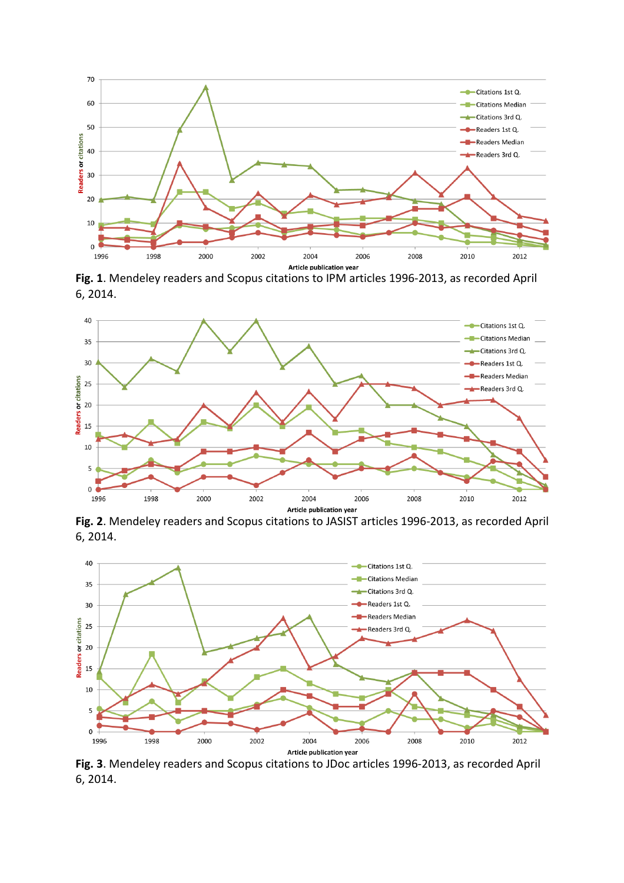

Fig. 1. Mendeley readers and Scopus citations to IPM articles 1996-2013, as recorded April 6, 2014.



Fig. 2. Mendeley readers and Scopus citations to JASIST articles 1996-2013, as recorded April 6, 2014.



Fig. 3. Mendeley readers and Scopus citations to JDoc articles 1996-2013, as recorded April 6, 2014.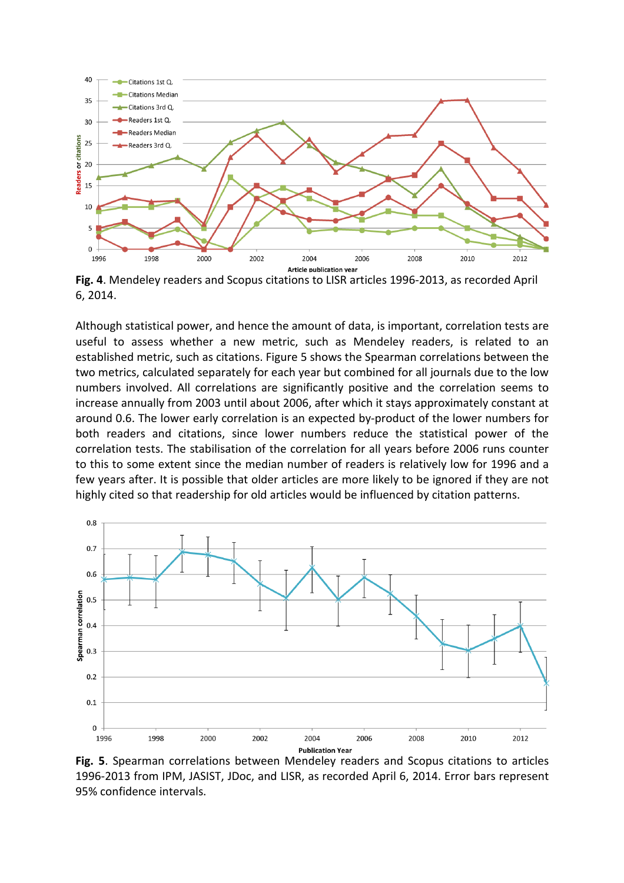

Fig. 4. Mendeley readers and Scopus citations to LISR articles 1996-2013, as recorded April 6, 2014.

Although statistical power, and hence the amount of data, is important, correlation tests are useful to assess whether a new metric, such as Mendeley readers, is related to an established metric, such as citations. Figure 5 shows the Spearman correlations between the two metrics, calculated separately for each year but combined for all journals due to the low numbers involved. All correlations are significantly positive and the correlation seems to increase annually from 2003 until about 2006, after which it stays approximately constant at around 0.6. The lower early correlation is an expected by-product of the lower numbers for both readers and citations, since lower numbers reduce the statistical power of the correlation tests. The stabilisation of the correlation for all years before 2006 runs counter to this to some extent since the median number of readers is relatively low for 1996 and a few years after. It is possible that older articles are more likely to be ignored if they are not highly cited so that readership for old articles would be influenced by citation patterns.



Fig. 5. Spearman correlations between Mendeley readers and Scopus citations to articles 1996-2013 from IPM, JASIST, JDoc, and LISR, as recorded April 6, 2014. Error bars represent 95% confidence intervals.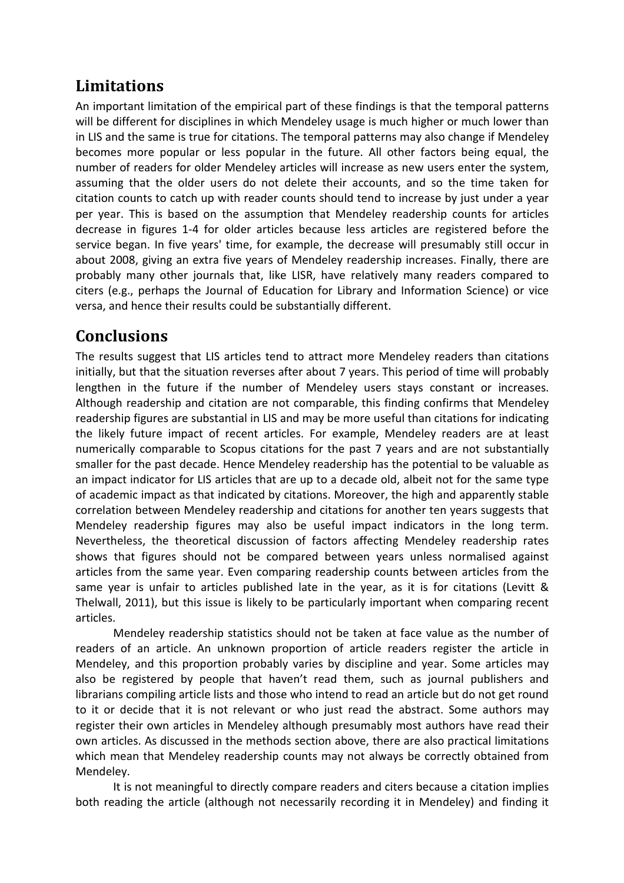# Limitations

An important limitation of the empirical part of these findings is that the temporal patterns will be different for disciplines in which Mendeley usage is much higher or much lower than in LIS and the same is true for citations. The temporal patterns may also change if Mendeley becomes more popular or less popular in the future. All other factors being equal, the number of readers for older Mendeley articles will increase as new users enter the system, assuming that the older users do not delete their accounts, and so the time taken for citation counts to catch up with reader counts should tend to increase by just under a year per year. This is based on the assumption that Mendeley readership counts for articles decrease in figures 1-4 for older articles because less articles are registered before the service began. In five years' time, for example, the decrease will presumably still occur in about 2008, giving an extra five years of Mendeley readership increases. Finally, there are probably many other journals that, like LISR, have relatively many readers compared to citers (e.g., perhaps the Journal of Education for Library and Information Science) or vice versa, and hence their results could be substantially different.

## Conclusions

The results suggest that LIS articles tend to attract more Mendeley readers than citations initially, but that the situation reverses after about 7 years. This period of time will probably lengthen in the future if the number of Mendeley users stays constant or increases. Although readership and citation are not comparable, this finding confirms that Mendeley readership figures are substantial in LIS and may be more useful than citations for indicating the likely future impact of recent articles. For example, Mendeley readers are at least numerically comparable to Scopus citations for the past 7 years and are not substantially smaller for the past decade. Hence Mendeley readership has the potential to be valuable as an impact indicator for LIS articles that are up to a decade old, albeit not for the same type of academic impact as that indicated by citations. Moreover, the high and apparently stable correlation between Mendeley readership and citations for another ten years suggests that Mendeley readership figures may also be useful impact indicators in the long term. Nevertheless, the theoretical discussion of factors affecting Mendeley readership rates shows that figures should not be compared between years unless normalised against articles from the same year. Even comparing readership counts between articles from the same year is unfair to articles published late in the year, as it is for citations (Levitt & Thelwall, 2011), but this issue is likely to be particularly important when comparing recent articles.

Mendeley readership statistics should not be taken at face value as the number of readers of an article. An unknown proportion of article readers register the article in Mendeley, and this proportion probably varies by discipline and year. Some articles may also be registered by people that haven't read them, such as journal publishers and librarians compiling article lists and those who intend to read an article but do not get round to it or decide that it is not relevant or who just read the abstract. Some authors may register their own articles in Mendeley although presumably most authors have read their own articles. As discussed in the methods section above, there are also practical limitations which mean that Mendeley readership counts may not always be correctly obtained from Mendeley.

 It is not meaningful to directly compare readers and citers because a citation implies both reading the article (although not necessarily recording it in Mendeley) and finding it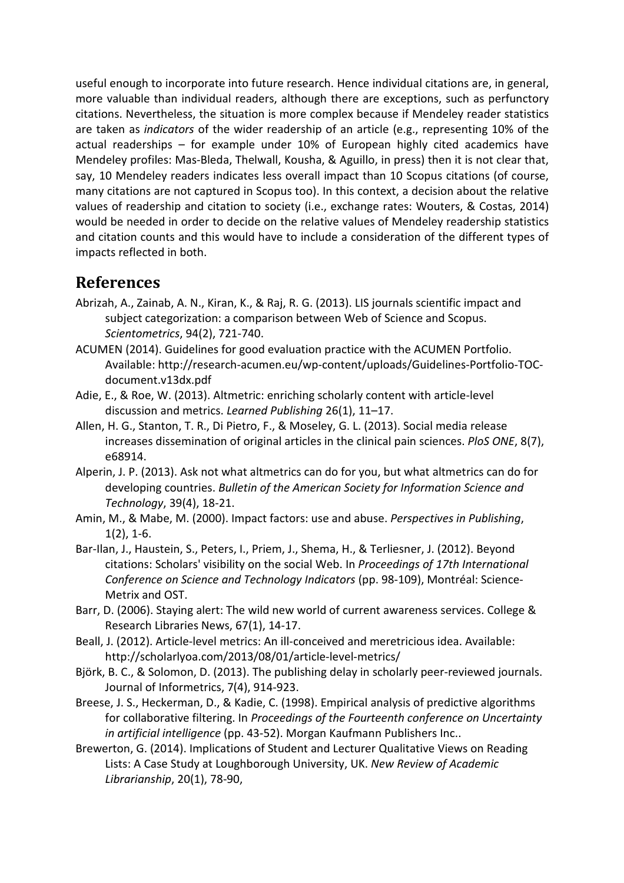useful enough to incorporate into future research. Hence individual citations are, in general, more valuable than individual readers, although there are exceptions, such as perfunctory citations. Nevertheless, the situation is more complex because if Mendeley reader statistics are taken as indicators of the wider readership of an article (e.g., representing 10% of the actual readerships – for example under 10% of European highly cited academics have Mendeley profiles: Mas-Bleda, Thelwall, Kousha, & Aguillo, in press) then it is not clear that, say, 10 Mendeley readers indicates less overall impact than 10 Scopus citations (of course, many citations are not captured in Scopus too). In this context, a decision about the relative values of readership and citation to society (i.e., exchange rates: Wouters, & Costas, 2014) would be needed in order to decide on the relative values of Mendeley readership statistics and citation counts and this would have to include a consideration of the different types of impacts reflected in both.

#### References

- Abrizah, A., Zainab, A. N., Kiran, K., & Raj, R. G. (2013). LIS journals scientific impact and subject categorization: a comparison between Web of Science and Scopus. Scientometrics, 94(2), 721-740.
- ACUMEN (2014). Guidelines for good evaluation practice with the ACUMEN Portfolio. Available: http://research-acumen.eu/wp-content/uploads/Guidelines-Portfolio-TOCdocument.v13dx.pdf
- Adie, E., & Roe, W. (2013). Altmetric: enriching scholarly content with article-level discussion and metrics. Learned Publishing 26(1), 11–17.
- Allen, H. G., Stanton, T. R., Di Pietro, F., & Moseley, G. L. (2013). Social media release increases dissemination of original articles in the clinical pain sciences. PloS ONE, 8(7), e68914.
- Alperin, J. P. (2013). Ask not what altmetrics can do for you, but what altmetrics can do for developing countries. Bulletin of the American Society for Information Science and Technology, 39(4), 18-21.
- Amin, M., & Mabe, M. (2000). Impact factors: use and abuse. Perspectives in Publishing, 1(2), 1-6.
- Bar-Ilan, J., Haustein, S., Peters, I., Priem, J., Shema, H., & Terliesner, J. (2012). Beyond citations: Scholars' visibility on the social Web. In Proceedings of 17th International Conference on Science and Technology Indicators (pp. 98-109), Montréal: Science-Metrix and OST.
- Barr, D. (2006). Staying alert: The wild new world of current awareness services. College & Research Libraries News, 67(1), 14-17.
- Beall, J. (2012). Article-level metrics: An ill-conceived and meretricious idea. Available: http://scholarlyoa.com/2013/08/01/article-level-metrics/
- Björk, B. C., & Solomon, D. (2013). The publishing delay in scholarly peer-reviewed journals. Journal of Informetrics, 7(4), 914-923.
- Breese, J. S., Heckerman, D., & Kadie, C. (1998). Empirical analysis of predictive algorithms for collaborative filtering. In Proceedings of the Fourteenth conference on Uncertainty in artificial intelligence (pp. 43-52). Morgan Kaufmann Publishers Inc..
- Brewerton, G. (2014). Implications of Student and Lecturer Qualitative Views on Reading Lists: A Case Study at Loughborough University, UK. New Review of Academic Librarianship, 20(1), 78-90,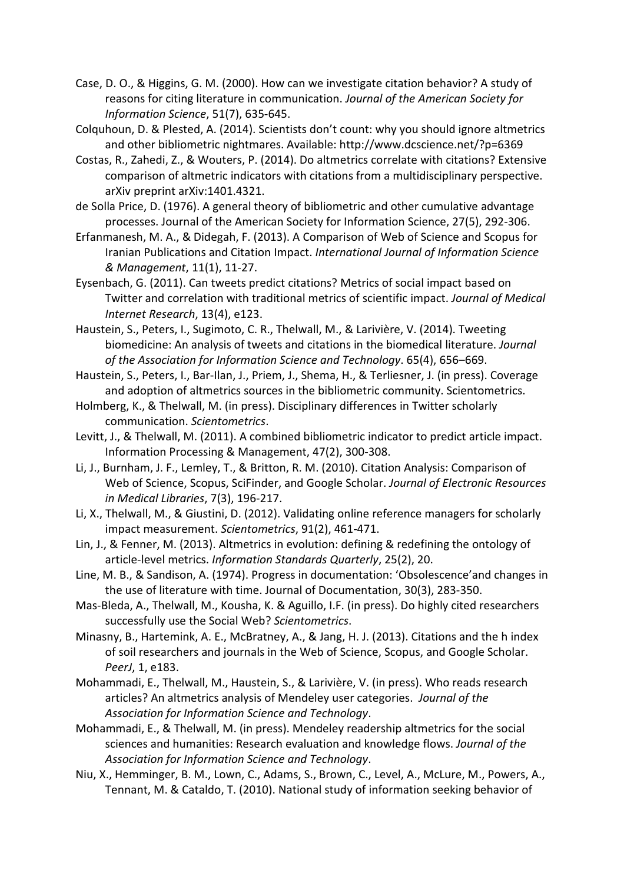- Case, D. O., & Higgins, G. M. (2000). How can we investigate citation behavior? A study of reasons for citing literature in communication. Journal of the American Society for Information Science, 51(7), 635-645.
- Colquhoun, D. & Plested, A. (2014). Scientists don't count: why you should ignore altmetrics and other bibliometric nightmares. Available: http://www.dcscience.net/?p=6369
- Costas, R., Zahedi, Z., & Wouters, P. (2014). Do altmetrics correlate with citations? Extensive comparison of altmetric indicators with citations from a multidisciplinary perspective. arXiv preprint arXiv:1401.4321.
- de Solla Price, D. (1976). A general theory of bibliometric and other cumulative advantage processes. Journal of the American Society for Information Science, 27(5), 292-306.
- Erfanmanesh, M. A., & Didegah, F. (2013). A Comparison of Web of Science and Scopus for Iranian Publications and Citation Impact. International Journal of Information Science & Management, 11(1), 11-27.
- Eysenbach, G. (2011). Can tweets predict citations? Metrics of social impact based on Twitter and correlation with traditional metrics of scientific impact. Journal of Medical Internet Research, 13(4), e123.
- Haustein, S., Peters, I., Sugimoto, C. R., Thelwall, M., & Larivière, V. (2014). Tweeting biomedicine: An analysis of tweets and citations in the biomedical literature. Journal of the Association for Information Science and Technology. 65(4), 656–669.
- Haustein, S., Peters, I., Bar-Ilan, J., Priem, J., Shema, H., & Terliesner, J. (in press). Coverage and adoption of altmetrics sources in the bibliometric community. Scientometrics.
- Holmberg, K., & Thelwall, M. (in press). Disciplinary differences in Twitter scholarly communication. Scientometrics.
- Levitt, J., & Thelwall, M. (2011). A combined bibliometric indicator to predict article impact. Information Processing & Management, 47(2), 300-308.
- Li, J., Burnham, J. F., Lemley, T., & Britton, R. M. (2010). Citation Analysis: Comparison of Web of Science, Scopus, SciFinder, and Google Scholar. Journal of Electronic Resources in Medical Libraries, 7(3), 196-217.
- Li, X., Thelwall, M., & Giustini, D. (2012). Validating online reference managers for scholarly impact measurement. Scientometrics, 91(2), 461-471.
- Lin, J., & Fenner, M. (2013). Altmetrics in evolution: defining & redefining the ontology of article-level metrics. Information Standards Quarterly, 25(2), 20.
- Line, M. B., & Sandison, A. (1974). Progress in documentation: 'Obsolescence'and changes in the use of literature with time. Journal of Documentation, 30(3), 283-350.
- Mas-Bleda, A., Thelwall, M., Kousha, K. & Aguillo, I.F. (in press). Do highly cited researchers successfully use the Social Web? Scientometrics.
- Minasny, B., Hartemink, A. E., McBratney, A., & Jang, H. J. (2013). Citations and the h index of soil researchers and journals in the Web of Science, Scopus, and Google Scholar. PeerJ, 1, e183.
- Mohammadi, E., Thelwall, M., Haustein, S., & Larivière, V. (in press). Who reads research articles? An altmetrics analysis of Mendeley user categories. Journal of the Association for Information Science and Technology.
- Mohammadi, E., & Thelwall, M. (in press). Mendeley readership altmetrics for the social sciences and humanities: Research evaluation and knowledge flows. Journal of the Association for Information Science and Technology.
- Niu, X., Hemminger, B. M., Lown, C., Adams, S., Brown, C., Level, A., McLure, M., Powers, A., Tennant, M. & Cataldo, T. (2010). National study of information seeking behavior of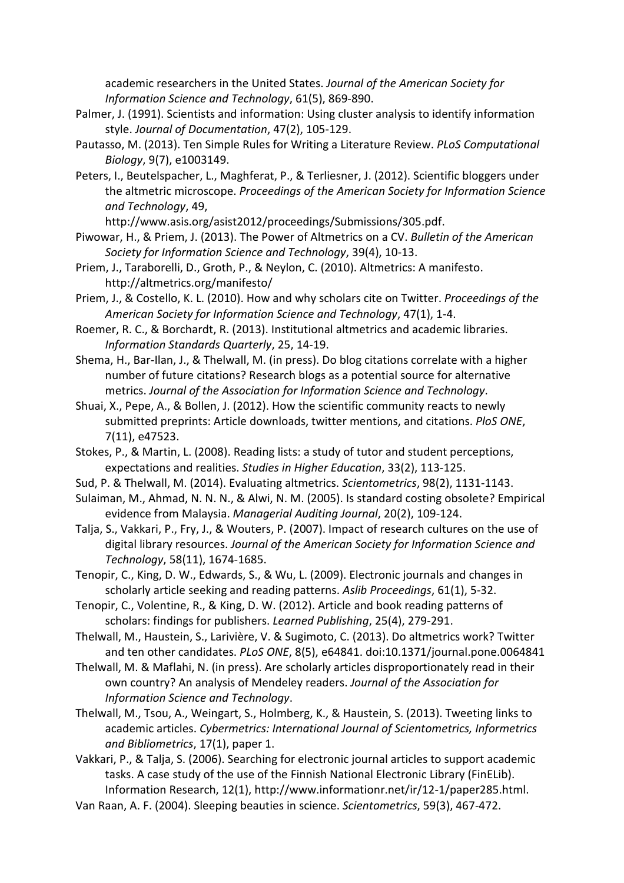academic researchers in the United States. Journal of the American Society for Information Science and Technology, 61(5), 869-890.

- Palmer, J. (1991). Scientists and information: Using cluster analysis to identify information style. Journal of Documentation, 47(2), 105-129.
- Pautasso, M. (2013). Ten Simple Rules for Writing a Literature Review. PLoS Computational Biology, 9(7), e1003149.
- Peters, I., Beutelspacher, L., Maghferat, P., & Terliesner, J. (2012). Scientific bloggers under the altmetric microscope. Proceedings of the American Society for Information Science and Technology, 49,

http://www.asis.org/asist2012/proceedings/Submissions/305.pdf.

- Piwowar, H., & Priem, J. (2013). The Power of Altmetrics on a CV. Bulletin of the American Society for Information Science and Technology, 39(4), 10-13.
- Priem, J., Taraborelli, D., Groth, P., & Neylon, C. (2010). Altmetrics: A manifesto. http://altmetrics.org/manifesto/
- Priem, J., & Costello, K. L. (2010). How and why scholars cite on Twitter. Proceedings of the American Society for Information Science and Technology, 47(1), 1-4.
- Roemer, R. C., & Borchardt, R. (2013). Institutional altmetrics and academic libraries. Information Standards Quarterly, 25, 14-19.
- Shema, H., Bar-Ilan, J., & Thelwall, M. (in press). Do blog citations correlate with a higher number of future citations? Research blogs as a potential source for alternative metrics. Journal of the Association for Information Science and Technology.
- Shuai, X., Pepe, A., & Bollen, J. (2012). How the scientific community reacts to newly submitted preprints: Article downloads, twitter mentions, and citations. PloS ONE, 7(11), e47523.
- Stokes, P., & Martin, L. (2008). Reading lists: a study of tutor and student perceptions, expectations and realities. Studies in Higher Education, 33(2), 113-125.
- Sud, P. & Thelwall, M. (2014). Evaluating altmetrics. Scientometrics, 98(2), 1131-1143.
- Sulaiman, M., Ahmad, N. N. N., & Alwi, N. M. (2005). Is standard costing obsolete? Empirical evidence from Malaysia. Managerial Auditing Journal, 20(2), 109-124.
- Talja, S., Vakkari, P., Fry, J., & Wouters, P. (2007). Impact of research cultures on the use of digital library resources. Journal of the American Society for Information Science and Technology, 58(11), 1674-1685.
- Tenopir, C., King, D. W., Edwards, S., & Wu, L. (2009). Electronic journals and changes in scholarly article seeking and reading patterns. Aslib Proceedings, 61(1), 5-32.
- Tenopir, C., Volentine, R., & King, D. W. (2012). Article and book reading patterns of scholars: findings for publishers. Learned Publishing, 25(4), 279-291.
- Thelwall, M., Haustein, S., Larivière, V. & Sugimoto, C. (2013). Do altmetrics work? Twitter and ten other candidates. PLoS ONE, 8(5), e64841. doi:10.1371/journal.pone.0064841
- Thelwall, M. & Maflahi, N. (in press). Are scholarly articles disproportionately read in their own country? An analysis of Mendeley readers. Journal of the Association for Information Science and Technology.
- Thelwall, M., Tsou, A., Weingart, S., Holmberg, K., & Haustein, S. (2013). Tweeting links to academic articles. Cybermetrics: International Journal of Scientometrics, Informetrics and Bibliometrics, 17(1), paper 1.
- Vakkari, P., & Talja, S. (2006). Searching for electronic journal articles to support academic tasks. A case study of the use of the Finnish National Electronic Library (FinELib). Information Research, 12(1), http://www.informationr.net/ir/12-1/paper285.html.
- Van Raan, A. F. (2004). Sleeping beauties in science. Scientometrics, 59(3), 467-472.